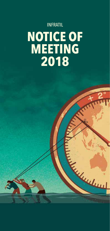# INFRATIL **NOTICE OF MEETING 2018**

The Contraction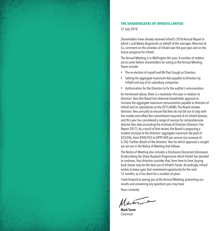

### **THE SHAREHOLDERS OF INFRATIL LIMITED**

27 July 2018

Shareholders have already received Infratil's 2018 Annual Report in which I, and Marko Bogoievski on behalf of the manager, Morrison & Co, comment on the activities of Infratil over the past year and on the future prospects for Infratil.

The Annual Meeting is in Wellington this year. A number of matters are to come before shareholders for voting at the Annual Meeting. These include:

- The re-election of myself and Mr Paul Gough as Directors.
- Setting the aggregate maximum fees payable to Directors by Infratil and any of its subsidiary companies.
- Authorisation for the Directors to fix the auditor's remuneration.

As mentioned above, there is a resolution this year in relation to directors' fees (the Board last obtained shareholder approval to increase the aggregate maximum remuneration payable to directors of Infratil and its subsidiaries at the 2015 AGM). The Board reviews directors' fees annually to ensure that fees do not fall out of step with the market and reflect the commitment required of an Infratil director, and this year has considered a range of sources for comprehensive director fees data (including the Institute of Directors Directors' Fee Report 2017). As a result of that review, the Board is proposing a modest increase to the directors' aggregate maximum fee pool of \$59,046, from \$940,923 to \$999,969 per annum (an increase of 6.3%). Further details of the directors' fees for which approval is sought are set out in the Notice of Meeting that follows.

The Notice of Meeting also includes a Disclosure Document (Annexure A) describing the Share Buyback Programme which Infratil has decided to continue. Your directors consider that, from time to time, buying back shares may be the best use of Infratil's funds. Accordingly, Infratil wishes to keep open that investment opportunity for the next 12 months, as it has done for a number of years.

I look forward to seeing you at the Annual Meeting, presenting our results and answering any questions you may have.

Yours sincerely

Martin

**Mark Tume**  Chairman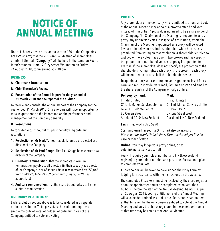# **NOTICE OF ANNUAL MEETING**

Notice is hereby given pursuant to section 120 of the Companies Act 1993 ("**Act**") that the 2018 Annual Meeting of shareholders of Infratil Limited ("**Company**") will be held in the Lambton Room, InterContinental Hotel, 2 Grey Street, Wellington on Friday, 24 August 2018, commencing at 2:30 pm.

## **BUSINESS**

- **A. Chairman's Introduction**
- **B. Chief Executive's Review**
- **C. Presentation of the Annual Report for the year ended 31 March 2018 and the report of the auditor**

To receive and consider the Annual Report of the Company for the year ended 31 March 2018. Shareholders will have an opportunity to raise questions on the Report and on the performance and management of the Company generally.

#### **D. Resolutions**

To consider and, if thought fit, pass the following ordinary resolutions:

- **1. Re-election of Mr Mark Tume:** That Mark Tume be re-elected as a director of the Company.
- **2. Re-election of Mr Paul Gough:** That Paul Gough be re-elected as a director of the Company.
- **3. Directors' remuneration:** That the aggregate maximum remuneration payable to all Directors (in their capacity as a director of the Company or any of its subsidiaries) be increased by \$59,046 from \$940,923 to \$999,969 per annum (plus GST or VAT, as appropriate).
- **4. Auditor's remuneration:**That the Board be authorised to fixthe auditor's remuneration.

# **ORDINARY RESOLUTIONS**

Each resolution set out above is to be considered as a separate ordinary resolution. To be passed, each resolution requires a simple majority of votes of holders of ordinary shares of the Company, entitled to vote and voting.

#### **PROXIES**

Any shareholder of the Company who is entitled to attend and vote at the Annual Meeting may appoint a proxy to attend and vote instead of him or her. A proxy does not need to be a shareholder of the Company. The Chairman of the Meeting is prepared to act as proxy. Any undirected votes in respect of a resolution, where the Chairman of the Meeting is appointed as a proxy, will be voted in favour of the relevant resolution, other than when he or she is prohibited from voting on that resolution. A shareholder entitled to cast two or more votes may appoint two proxies and may specify the proportion or number of votes each proxy is appointed to exercise. If the shareholder does not specify the proportion of the shareholder's voting rights each proxy is to represent, each proxy will be entitled to exercise half the shareholder's votes.

To appoint a proxy you can complete and sign the enclosed Proxy Form and return it by delivery, mail, facsimile or scan and email to the share registrar of the Company or lodge online:

#### **Delivery by hand: Mail:**

| Infratil Limited                 | Infratil Limited                 |
|----------------------------------|----------------------------------|
| C/- Link Market Services Limited | C/- Link Market Services Limited |
| Level 11, Deloitte Centre        | PO Box 91976                     |
| 80 Queen Street                  | Victoria Street West             |
| Auckland 1010, New Zealand       | Auckland 1142, New Zealand       |
|                                  |                                  |

#### **Facsimile:** +64 9 375 5990

**Scan and email:** meetings@linkmarketservices.co.nz *Please put the words "Infratil Proxy Form" in the subject line for ease of identification*

**Online:** You may lodge your proxy online, go to: vote.linkmarketservices.com/IFT

You will require your holder number and FIN (New Zealand register) or your holder number and postcode (Australian register) to complete your vote.

A shareholder will be taken to have signed the Proxy Form by lodging it in accordance with the instructions on the website.

The completed Proxy Form must be received by the share registrar or online appointment must be completed by no later than 48 hours before the start of the Annual Meeting, being 2.30 pm on 22 August 2018. Voting entitlements of the Annual Meeting will also be determined as at this time. Registered shareholders at that time will be the only persons entitled to vote at the Annual Meeting and only the shares registered in those holders' names at that time may be voted at the Annual Meeting.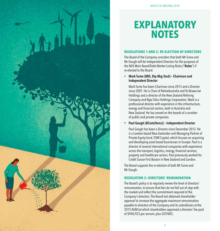# **EXPLANATORY NOTES**

### **RESOLUTIONS 1 AND 2: RE-ELECTION OF DIRECTORS**

The Board of the Company considers that both Mr Tume and Mr Gough will be Independent Directors for the purposes of the NZX Main Board/Debt Market Listing Rules ("**Rules**") if re-elected to the Board.

**• Mark Tume (BBS, Dip Bkg Stud) – Chairman and Independent Director**

Mark Tume has been Chairman since 2013 and a Director since 2007. He is Chair of RetireAustralia and Te Atiawa Iwi Holdings and a director of the New Zealand Refining Company and Ngai Tahu Holdings Corporation. Mark is a professional director with experience in the infrastructure, energy and financial sectors, both in Australia and New Zealand. He has served on the boards of a number of public and private companies.

**• Paul Gough (BCom(Hons)) – Independent Director**

Paul Gough has been a Director since December 2012. He is a London-based New Zealander and Managing Partner of Private Equity fund, STAR Capital, which focuses on acquiring and developing asset-based businesses in Europe. Paul is a director of several international companies with experience across the transport, logistics, energy, financial services, property and healthcare sectors. Paul previously worked for Credit Suisse First Boston in New Zealand and London.

The Board supports the re-election of both Mr Tume and Mr Gough.

#### **RESOLUTION 3: DIRECTORS' REMUNERATION**

The Board's policy is to regularly review the level of directors' remuneration, to ensure that fees do not fall out of step with the market and reflect the commitment required of the Company's directors. The Board last obtained shareholder approval to increase the aggregate maximum remuneration payable to directors of the Company and its subsidiaries at the 2015 AGM (at which shareholders approved a directors' fee pool of \$940,923 per annum, plus GST/VAT).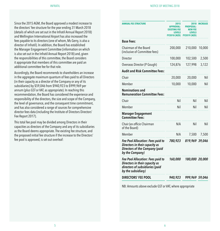Since the 2015 AGM, the Board approved a modest increase to the directors' fee structure for the year ending 31 March 2018 (details of which are set out in the Infratil Annual Report 2018) and Wellington International Airport has also increased the fees payable to its directors (one of whom, Ms Gerry, is also a director of Infratil). In addition, the Board has established the Manager Engagement Committee (information on which is also set out in the Infratil Annual Report 2018) and, given the responsibilities of this committee, the Board considers it appropriate that members of this committee are paid an additional committee fee for that role.

Accordingly, the Board recommends to shareholders an increase in the aggregate maximum quantum of fees paid to all Directors (in their capacity as a director of the Company or any of its subsidiaries) by \$59,046 from \$940,923 to \$999,969 per annum (plus GST or VAT, as appropriate). In reaching this recommendation, the Board has considered the experience and responsibility of the directors, the size and scope of the Company, the level of governance, and the consequent time commitment, and has also considered a range of sources for comprehensive director fees data (including the Institute of Directors Directors' Fee Report 2017).

This total fee pool may be divided among Directors in their capacities as directors of the Company and any of its subsidiaries as the Board deems appropriate. The existing fee structure, and the proposed initial fee structure if the increase to the Directors' fee pool is approved, is set out overleaf:

| ANNUAL FEE STRUCTURE                                                                                                         | 2015<br><b>APPROVAL:</b><br>EXISTING FEE<br>LEVELS<br><b>FY2018 (NZD)</b> | 2018<br><b>PROPOSAL:</b><br><b>NEW FEE</b><br>LEVELS<br><b>FY2019 (NZD)</b> | <b>INCREASE</b> |
|------------------------------------------------------------------------------------------------------------------------------|---------------------------------------------------------------------------|-----------------------------------------------------------------------------|-----------------|
| <b>Base Fees:</b>                                                                                                            |                                                                           |                                                                             |                 |
| Chairman of the Board<br>(inclusive of Committee fees)                                                                       | 200,000                                                                   | 210,000                                                                     | 10,000          |
| Director                                                                                                                     | 100,000                                                                   | 102,500                                                                     | 2,500           |
| Overseas Director (P Gough)                                                                                                  | 124,876                                                                   | 127,998                                                                     | 3,122           |
| <b>Audit and Risk Committee Fees:</b>                                                                                        |                                                                           |                                                                             |                 |
| Chair                                                                                                                        | 20,000                                                                    | 20,000                                                                      | Nil             |
| Member                                                                                                                       | 10,000                                                                    | 10,000                                                                      | Nil             |
| <b>Nominations and</b><br><b>Remuneration Committee Fees:</b>                                                                |                                                                           |                                                                             |                 |
| Chair                                                                                                                        | Nil                                                                       | Nil                                                                         | Nil             |
| Member                                                                                                                       | Nil                                                                       | Nil                                                                         | Nil             |
| <b>Manager Engagement</b><br><b>Committee Fees:</b>                                                                          |                                                                           |                                                                             |                 |
| Chair (ex officio Chairman<br>of the Board)                                                                                  | N/A                                                                       | Nil                                                                         | Nil             |
| Member                                                                                                                       | N/A                                                                       | 7,500                                                                       | 7,500           |
| Fee Pool Allocation: Fees paid to<br>Directors in their capacity as<br>Directors of the Company (paid<br>by the Company)     | 780,923                                                                   | 819,969 39,046                                                              |                 |
| Fee Pool Allocation: Fees paid to<br>Directors in their capacity as<br>directors of subsidiaries (paid<br>by the subsidiary) | 160,000                                                                   | 180,000 20,000                                                              |                 |
| <b>DIRECTORS' FEE POOL</b>                                                                                                   | 940,923                                                                   | 999,969 59,046                                                              |                 |

NB: Amounts above exclude GST or VAT, where appropriate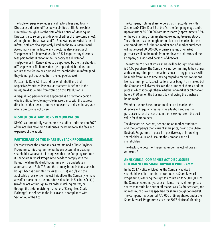The table on page 6 excludes any directors' fees paid to any Director as a director of Trustpower Limited or Tilt Renewables Limited (although, as at the date of this Notice of Meeting, no Director is also serving as a director of either of those companies). Although both Trustpower and Tilt Renewables are subsidiaries of Infratil, both are also separately listed on the NZSX Main Board. Accordingly, if in the future any Director is also a director of Trustpower or Tilt Renewables, Rule 3.5.1 requires any directors' fees paid to that Director in their capacity as a director of Trustpower or Tilt Renewables to be approved by the shareholders of Trustpower or Tilt Renewables (as applicable), but does not require those fees to be approved by shareholders in Infratil (and they do not get deducted from the fee pool above).

Pursuant to Rule 9.3.1 each director of Infratil and their respective Associated Persons (as that term is defined in the Rules) are disqualified from voting on this Resolution 3.

A disqualified person who is appointed as a proxyfor a person who is entitled to vote may vote in accordance with the express direction of that person, but may not exercise a discretionary vote where direction is not given.

#### **RESOLUTION 4: AUDITOR'S REMUNERATION**

KPMG is automatically reappointed as auditor under section 207T of the Act.This resolution authorises the Board to fixthe fees and expenses of the auditor.

#### **PARTICULARS OF THE SHARE BUYBACK PROGRAMME**

For many years, the Company has maintained a Share Buyback Programme. This programme has been successful in creating shareholder value and it is proposed that the Company continue it. The Share Buyback Programme needs to comply with the Rules. The Share Buyback Programme will be undertaken in accordance with Rule 7.6, and the primary intent is that shares be bought back as permitted by Rules 7.6.1(a) and (f) and the applicable provisions of the Act. This allows the Company to make any offer pursuant to the procedures detailed in Section 60(1)(b) (ii) of the Act, or through NZX's order matching market, or through the order matching market of a 'Recognised Stock Exchange' (as defined in the Rules) and in compliance with Section 63 of the Act.

The Company notifies shareholders that, in accordance with Sections 60(1)(b)(ii) or 63 of the Act, the Company may acquire up to a further 50,000,000 ordinary shares (approximately 8.9% of the outstanding ordinary shares, excluding treasury stock). These shares may be bought on-market or off-market, but the combined total of further on-market and off-market purchases will not exceed 50,000,000 ordinary shares. Off-market purchases will not be made from employees or directors of the Company or associated persons of directors.

The maximum price at which shares will be bought off-market is \$4.00 per share. The Company is not committing to buy shares at this or any other price and a decision as to any purchases will be made from time to time having regard to market conditions. No maximum price is specified for shares bought on-market, but the Company will always disclose the number of shares, and the price at which it bought them, whether on-market or off-market, before 9:30 am on the business day following the purchase being made.

Whether the purchases are on-market or off-market, the directors will regularly reassess the situation and seek to purchase shares at prices that in their view represent the best value for shareholders.

The directors believe that, depending on market conditions and the Company's then current share price, having the Share Buyback Programme in place is a positive way of improving shareholder value and is fair to the Company and all shareholders.

The disclosure document required under the Act follows as Annexure A.

#### **ANNEXURE A: COMPANIES ACT DISCLOSURE DOCUMENT FOR SHARE BUYBACK PROGRAMME**

In the 2017 Notice of Meeting, the Company advised shareholders of its intention to continue its Share Buyback Programme, reserving the right to acquire up to 50,000,000 of the Company's ordinary shares on issue. The maximum price of shares that could be bought off-market was \$3.70 per share, and no maximum price was specified for shares bought on-market. The Company has acquired 775,000 ordinaryshares under the Share Buyback Programme since the 2017 Notice of Meeting.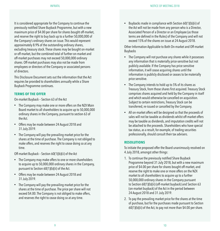It is considered appropriate for the Company to continue the previously notified Share Buyback Programme, but with a new maximum price of \$4.00 per share for shares bought off-market, and reserve the right to buy back up to a further 50,000,000 of the Company's ordinary shares on issue. This would represent approximately 8.9% of the outstanding ordinary shares, excluding treasury stock. These shares may be bought on-market or off-market, but the combined total of further on-market and off-market purchases may not exceed 50,000,000 ordinary shares. Off-market purchases may also not be made from employees or directors of the Company or associated persons of directors.

This Disclosure Document sets out the information that the Act requires be provided to shareholders annually while a Share Buyback Programme continues.

#### **TERMS OF THE OFFER**

On-market Buyback – Section 63 of the Act

- The Company may make one or more offers on the NZX Main Board market to all shareholders to acquire up to 50,000,000 ordinary shares in the Company, pursuant to section 63 of the Act.
- Offers may be made between 24 August 2018 and 31 July 2019.
- The Company will pay the prevailing market price for the shares at the time of purchase. The Company is not obliged to make offers, and reserves the right to cease doing so at any time.

Off-market Buyback – Section 60(1)(b)(ii) of the Act

- The Company may make offers to one or more shareholders to acquire up to 50,000,000 ordinaryshares in the Company, pursuant to Section 60(1)(b)(ii) of the Act.
- Offers may be made between 24 August 2018 and 31 July 2019.
- The Company will pay the prevailing market price for the shares at the time of purchase. The price per share will not exceed \$4.00. The Company is not obliged to make offers, and reserves the right to cease doing so at any time.

• Buybacks made in compliance with Section 60(1)(b)(ii) of the Act will not be made from any person who is a Director, Associated Person of a Director or an Employee (as those terms are defined in the Rules) of the Company and will not exceed 15% of the shares on issue at 24 August 2018.

Other Information Applicable to Both On-market and Off-market Buybacks

- The Company will not purchase any shares while it possesses any information that is materially price-sensitive but not publicly available. If the Company has price sensitive information, it will cease acquiring shares until the information is publicly disclosed or ceases to be materially price sensitive.
- The Company intends to hold up to 5% of its shares as Treasury Stock, from those shares first acquired. Treasury Stock comprises shares acquired and held by the Company in itself and which would otherwise be cancelled on acquisition. Subject to certain restrictions, Treasury Stock can be transferred, re-issued or cancelled by the Company.
- All on-market offers will be designed so that the proceeds of sales will not be taxable as dividends whilst off-market offers may be taxable as dividends, and imputation credits will not be attached to the proceeds. Shareholders who have special tax status, as a result, for example, of trading securities professionally, should consult their tax advisers.

#### **RESOLUTIONS**

To initiate the proposed offer the Board unanimously resolved on 4 July 2018, amongst other things:

- 1. To continue the previously notified Share Buyback Programme beyond 31 July 2018, but with a new maximum price of \$4.00 per share for shares bought off-market, and reserve the right to make one or more offers on the NZX market to all shareholders to acquire up to a further 50,000,000 ordinary shares in the Company pursuant to Section 60(1)(b)(ii) (off-market buyback) and Section 63 (on-market buyback) of the Act in the period between 24 August 2018 and 31 July 2019.
- 2. To pay the prevailing market price for the shares at the time of purchase, but for the purchases made pursuant to Section 60(1)(b)(ii) of the Act, to pay not more than \$4.00 per share.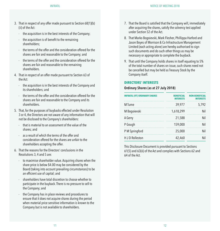- 3. That in respect of any offer made pursuant to Section 60(1)(b) (ii) of the Act:
	- the acquisition is in the best interests of the Company;
	- the acquisition is of benefit to the remaining shareholders;
	- the terms of the offer and the consideration offered for the shares are fair and reasonable to the Company; and
	- the terms of the offer and the consideration offered for the shares are fair and reasonable to the remaining shareholders.
- 4. That in respect of an offer made pursuant to Section 63 of the Act:
	- the acquisition is in the best interests of the Company and its shareholders; and
	- the terms of the offer and the consideration offered for the shares are fair and reasonable to the Company and its shareholders.
- 5. That, for the purposes of buybacks effected under Resolution 3 or 4, the Directors are not aware of any information that will not be disclosed to the Company's shareholders:
	- that is material to an assessment of the value of the shares; and
	- as a result of which the terms of the offer and consideration offered for the shares are unfair to the shareholders accepting the offer.
- 6. That the reasons for the Directors' conclusions in the Resolutions 3, 4 and 5 are:
	- to maximise shareholder value. Acquiring shares when the share price is below \$4.00 may be considered by the Board (taking into account prevailing circumstances) to be an efficient use of capital; and
	- shareholders have total discretion to choose whether to participate in the buyback. There is no pressure to sell to the Company; and
	- the Company has in place reviews and procedures to ensure that it does not acquire shares during the period when material price sensitive information is known to the Company but is not available to shareholders.
- 7. That the Board is satisfied that the Company will, immediately after acquiring the shares, satisfy the solvency test applied under Section 52 of the Act.
- 8. That Marko Bogoievski, Mark Flesher, Phillippa Harford and Jason Boyes of Morrison & Co Infrastructure Management Limited (each acting alone) are hereby authorised to sign such documents and do such other things as may be necessary or appropriate to complete the buyback.
- 9. That until the Company holds shares in itself equating to 5% of the total number of shares on issue, such shares need not be cancelled but may be held as Treasury Stock by the Company itself.

#### **DIRECTORS' INTERESTS**

#### **Ordinary Shares (as at 27 July 2018)**

| <b>INFRATIL (IFT) ORDINARY SHARES</b> | <b><i>RENEFICIAL</i></b><br><b>INTERESTS</b> | <b>NON-BENEFICIAL</b><br><b>INTERESTS</b> |  |
|---------------------------------------|----------------------------------------------|-------------------------------------------|--|
| M Tume                                | 39,977                                       | 5.792                                     |  |
| M Bogoievski                          | 1,618,299                                    | Nil                                       |  |
| A Gerry                               | 21,588                                       | Nil                                       |  |
| P Gough                               | 159,000                                      | Nil                                       |  |
| P M Springford                        | 25,000                                       | Nil                                       |  |
| H J D Rolleston                       | 42,460                                       | Nil                                       |  |

This Disclosure Document is provided pursuant to Sections 61(5) and 63(6) of the Act and complies with Sections 62 and 64 of the Act.